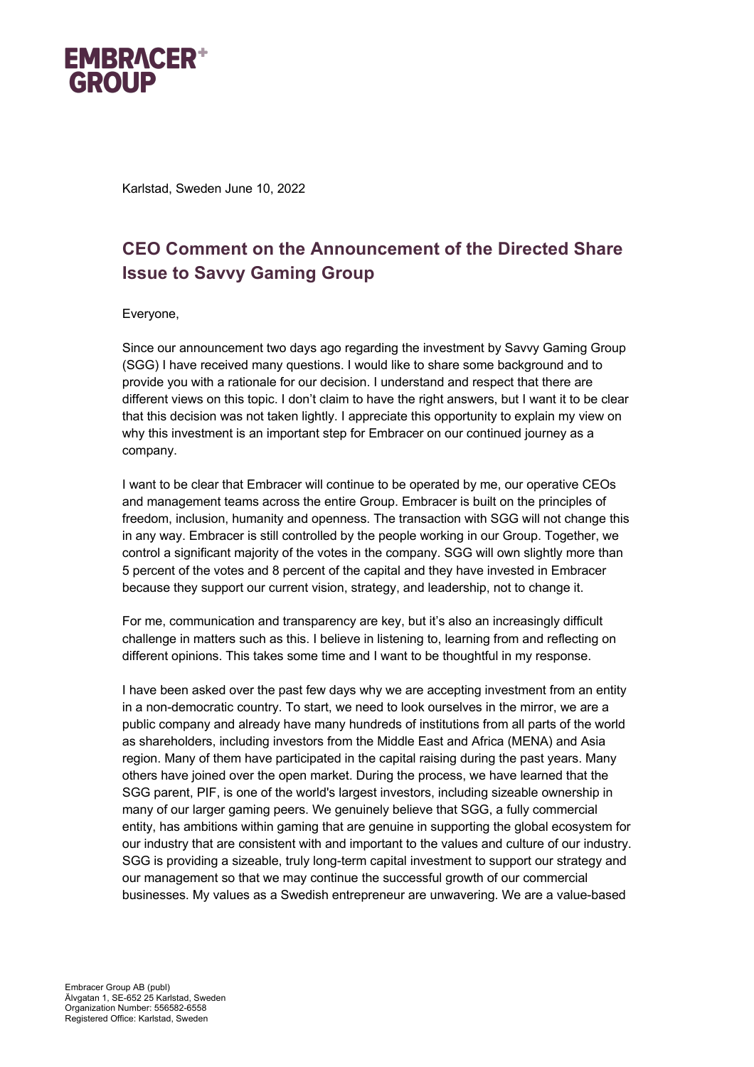

Karlstad, Sweden June 10, 2022

## **CEO Comment on the Announcement of the Directed Share Issue to Savvy Gaming Group**

## Everyone,

Since our announcement two days ago regarding the investment by Savvy Gaming Group (SGG) I have received many questions. I would like to share some background and to provide you with a rationale for our decision. I understand and respect that there are different views on this topic. I don't claim to have the right answers, but I want it to be clear that this decision was not taken lightly. I appreciate this opportunity to explain my view on why this investment is an important step for Embracer on our continued journey as a company.

I want to be clear that Embracer will continue to be operated by me, our operative CEOs and management teams across the entire Group. Embracer is built on the principles of freedom, inclusion, humanity and openness. The transaction with SGG will not change this in any way. Embracer is still controlled by the people working in our Group. Together, we control a significant majority of the votes in the company. SGG will own slightly more than 5 percent of the votes and 8 percent of the capital and they have invested in Embracer because they support our current vision, strategy, and leadership, not to change it.

For me, communication and transparency are key, but it's also an increasingly difficult challenge in matters such as this. I believe in listening to, learning from and reflecting on different opinions. This takes some time and I want to be thoughtful in my response.

I have been asked over the past few days why we are accepting investment from an entity in a non-democratic country. To start, we need to look ourselves in the mirror, we are a public company and already have many hundreds of institutions from all parts of the world as shareholders, including investors from the Middle East and Africa (MENA) and Asia region. Many of them have participated in the capital raising during the past years. Many others have joined over the open market. During the process, we have learned that the SGG parent, PIF, is one of the world's largest investors, including sizeable ownership in many of our larger gaming peers. We genuinely believe that SGG, a fully commercial entity, has ambitions within gaming that are genuine in supporting the global ecosystem for our industry that are consistent with and important to the values and culture of our industry. SGG is providing a sizeable, truly long-term capital investment to support our strategy and our management so that we may continue the successful growth of our commercial businesses. My values as a Swedish entrepreneur are unwavering. We are a value-based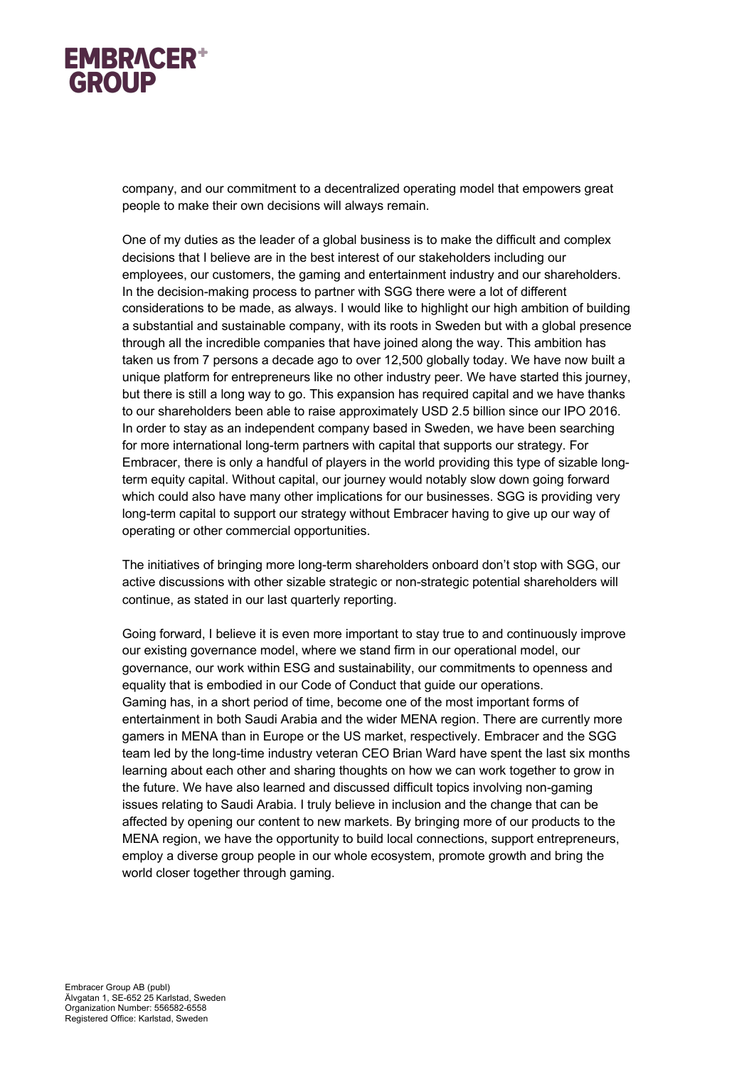

company, and our commitment to a decentralized operating model that empowers great people to make their own decisions will always remain.

One of my duties as the leader of a global business is to make the difficult and complex decisions that I believe are in the best interest of our stakeholders including our employees, our customers, the gaming and entertainment industry and our shareholders. In the decision-making process to partner with SGG there were a lot of different considerations to be made, as always. I would like to highlight our high ambition of building a substantial and sustainable company, with its roots in Sweden but with a global presence through all the incredible companies that have joined along the way. This ambition has taken us from 7 persons a decade ago to over 12,500 globally today. We have now built a unique platform for entrepreneurs like no other industry peer. We have started this journey, but there is still a long way to go. This expansion has required capital and we have thanks to our shareholders been able to raise approximately USD 2.5 billion since our IPO 2016. In order to stay as an independent company based in Sweden, we have been searching for more international long-term partners with capital that supports our strategy. For Embracer, there is only a handful of players in the world providing this type of sizable longterm equity capital. Without capital, our journey would notably slow down going forward which could also have many other implications for our businesses. SGG is providing very long-term capital to support our strategy without Embracer having to give up our way of operating or other commercial opportunities.

The initiatives of bringing more long-term shareholders onboard don't stop with SGG, our active discussions with other sizable strategic or non-strategic potential shareholders will continue, as stated in our last quarterly reporting.

Going forward, I believe it is even more important to stay true to and continuously improve our existing governance model, where we stand firm in our operational model, our governance, our work within ESG and sustainability, our commitments to openness and equality that is embodied in our Code of Conduct that guide our operations. Gaming has, in a short period of time, become one of the most important forms of entertainment in both Saudi Arabia and the wider MENA region. There are currently more gamers in MENA than in Europe or the US market, respectively. Embracer and the SGG team led by the long-time industry veteran CEO Brian Ward have spent the last six months learning about each other and sharing thoughts on how we can work together to grow in the future. We have also learned and discussed difficult topics involving non-gaming issues relating to Saudi Arabia. I truly believe in inclusion and the change that can be affected by opening our content to new markets. By bringing more of our products to the MENA region, we have the opportunity to build local connections, support entrepreneurs, employ a diverse group people in our whole ecosystem, promote growth and bring the world closer together through gaming.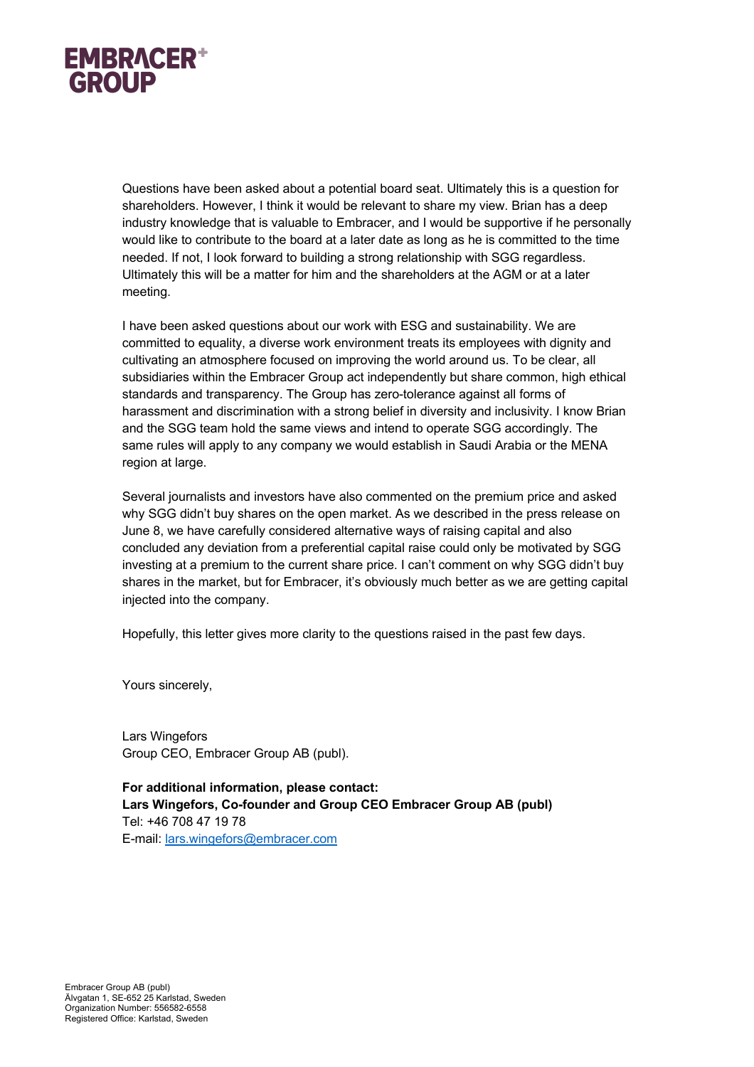

Questions have been asked about a potential board seat. Ultimately this is a question for shareholders. However, I think it would be relevant to share my view. Brian has a deep industry knowledge that is valuable to Embracer, and I would be supportive if he personally would like to contribute to the board at a later date as long as he is committed to the time needed. If not, I look forward to building a strong relationship with SGG regardless. Ultimately this will be a matter for him and the shareholders at the AGM or at a later meeting.

I have been asked questions about our work with ESG and sustainability. We are committed to equality, a diverse work environment treats its employees with dignity and cultivating an atmosphere focused on improving the world around us. To be clear, all subsidiaries within the Embracer Group act independently but share common, high ethical standards and transparency. The Group has zero-tolerance against all forms of harassment and discrimination with a strong belief in diversity and inclusivity. I know Brian and the SGG team hold the same views and intend to operate SGG accordingly. The same rules will apply to any company we would establish in Saudi Arabia or the MENA region at large.

Several journalists and investors have also commented on the premium price and asked why SGG didn't buy shares on the open market. As we described in the press release on June 8, we have carefully considered alternative ways of raising capital and also concluded any deviation from a preferential capital raise could only be motivated by SGG investing at a premium to the current share price. I can't comment on why SGG didn't buy shares in the market, but for Embracer, it's obviously much better as we are getting capital injected into the company.

Hopefully, this letter gives more clarity to the questions raised in the past few days.

Yours sincerely,

Lars Wingefors Group CEO, Embracer Group AB (publ).

**For additional information, please contact: Lars Wingefors, Co-founder and Group CEO Embracer Group AB (publ)** Tel: +46 708 47 19 78 E-mail: lars.wingefors@embracer.com